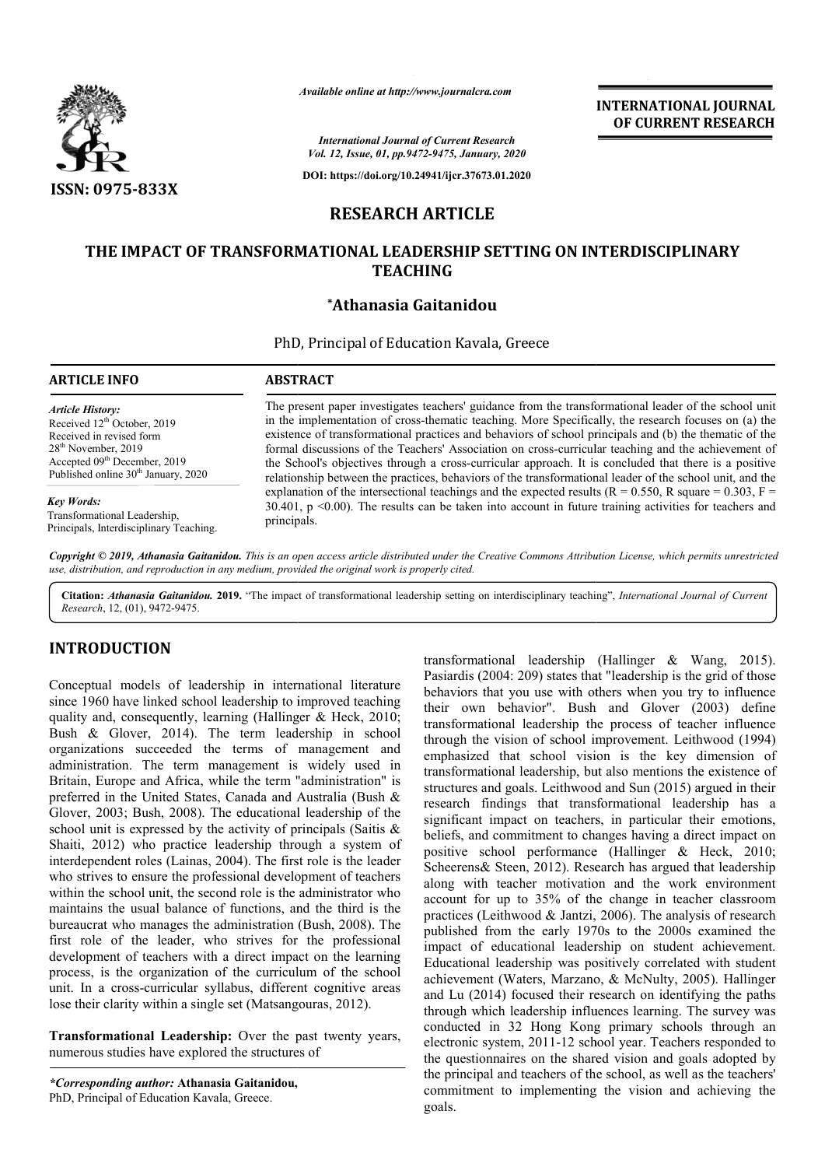

# **RESEARCH ARTICLE**

# **THE IMPACT OF TRANSFORMATIONAL LEADERSHIP SETTING ON INTERDISCIPLINARY THE INTERDISCIPLINARY TEACHING**

### **\*Athanasia Gaitanidou**

|                                                                                                                                                                                                                                  | Available online at http://www.journalcra.com                                                                                                                                                                                                                                                                                                                                                                                                                                                                                                                                                                                                       | <b>INTERNATIONAL JOURNAL</b><br>OF CURRENT RESEARCH |  |  |  |
|----------------------------------------------------------------------------------------------------------------------------------------------------------------------------------------------------------------------------------|-----------------------------------------------------------------------------------------------------------------------------------------------------------------------------------------------------------------------------------------------------------------------------------------------------------------------------------------------------------------------------------------------------------------------------------------------------------------------------------------------------------------------------------------------------------------------------------------------------------------------------------------------------|-----------------------------------------------------|--|--|--|
|                                                                                                                                                                                                                                  | <b>International Journal of Current Research</b><br>Vol. 12, Issue, 01, pp.9472-9475, January, 2020                                                                                                                                                                                                                                                                                                                                                                                                                                                                                                                                                 |                                                     |  |  |  |
| <b>ISSN: 0975-833X</b>                                                                                                                                                                                                           | DOI: https://doi.org/10.24941/ijcr.37673.01.2020                                                                                                                                                                                                                                                                                                                                                                                                                                                                                                                                                                                                    |                                                     |  |  |  |
|                                                                                                                                                                                                                                  | <b>RESEARCH ARTICLE</b>                                                                                                                                                                                                                                                                                                                                                                                                                                                                                                                                                                                                                             |                                                     |  |  |  |
|                                                                                                                                                                                                                                  | THE IMPACT OF TRANSFORMATIONAL LEADERSHIP SETTING ON INTERDISCIPLINARY<br><b>TEACHING</b>                                                                                                                                                                                                                                                                                                                                                                                                                                                                                                                                                           |                                                     |  |  |  |
|                                                                                                                                                                                                                                  | *Athanasia Gaitanidou                                                                                                                                                                                                                                                                                                                                                                                                                                                                                                                                                                                                                               |                                                     |  |  |  |
|                                                                                                                                                                                                                                  | PhD, Principal of Education Kavala, Greece                                                                                                                                                                                                                                                                                                                                                                                                                                                                                                                                                                                                          |                                                     |  |  |  |
| <b>ARTICLE INFO</b>                                                                                                                                                                                                              | <b>ABSTRACT</b>                                                                                                                                                                                                                                                                                                                                                                                                                                                                                                                                                                                                                                     |                                                     |  |  |  |
| <b>Article History:</b><br>Received 12 <sup>th</sup> October, 2019<br>Received in revised form<br>28 <sup>th</sup> November, 2019<br>Accepted 09 <sup>th</sup> December, 2019<br>Published online 30 <sup>th</sup> January, 2020 | The present paper investigates teachers' guidance from the transformational leader of the school unit<br>in the implementation of cross-thematic teaching. More Specifically, the research focuses on (a) the<br>existence of transformational practices and behaviors of school principals and (b) the thematic of the<br>formal discussions of the Teachers' Association on cross-curricular teaching and the achievement of<br>the School's objectives through a cross-curricular approach. It is concluded that there is a positive<br>relationship between the practices, behaviors of the transformational leader of the school unit, and the |                                                     |  |  |  |
| <b>Key Words:</b><br>Transformational Leadership,<br>Principals, Interdisciplinary Teaching.                                                                                                                                     | explanation of the intersectional teachings and the expected results ( $R = 0.550$ , R square = 0.303, F =<br>30.401, $p \le 0.00$ ). The results can be taken into account in future training activities for teachers and<br>principals.                                                                                                                                                                                                                                                                                                                                                                                                           |                                                     |  |  |  |
|                                                                                                                                                                                                                                  | Copyright © 2019, Athanasia Gaitanidou. This is an open access article distributed under the Creative Commons Attribution License, which permits unrestricted<br>use, distribution, and reproduction in any medium, provided the original work is properly cited.                                                                                                                                                                                                                                                                                                                                                                                   |                                                     |  |  |  |
|                                                                                                                                                                                                                                  | Citation: Athanasia Gaitanidou. 2019. "The impact of transformational leadership setting on interdisciplinary teaching", International Journal of Current                                                                                                                                                                                                                                                                                                                                                                                                                                                                                           |                                                     |  |  |  |

Citation: Athanasia Gaitanidou. 2019. "The impact of transformational leadership setting on interdisciplinary teaching", International Journal of Current *Research*, 12, (01), 9472-9475.

## **INTRODUCTION**

Conceptual models of leadership in international literature since 1960 have linked school leadership to improved teaching quality and, consequently, learning (Hallinger & Heck, 2010; Bush & Glover, 2014). The term leadership in school organizations succeeded the terms of management and administration. The term management is widely used in Britain, Europe and Africa, while the term "administration" is preferred in the United States, Canada and Australia (Bush & Glover, 2003; Bush, 2008). The educational leadership of the school unit is expressed by the activity of principals (Saitis & Shaiti, 2012) who practice leadership through a system of interdependent roles (Lainas, 2004). The first role is the leader who strives to ensure the professional development of teachers within the school unit, the second role is the administrator who maintains the usual balance of functions, and the third is the bureaucrat who manages the administration (Bush, 2008). The first role of the leader, who strives for the professional development of teachers with a direct impact on the learning process, is the organization of the curriculum of the school unit. In a cross-curricular syllabus, different cognitive areas lose their clarity within a single set (Matsangouras, 2012).

**Transformational Leadership:** Over the past twenty years, numerous studies have explored the structures of

transformational leadership (Hallinger & Wang, 2015).<br>
models of leadership in international literature Posiardis (2004: 2009) stats that "leadership is the grid of those<br>
over linked school leadership in international lea Pasiardis (2004: 209) states that "leadership is the grid of those behaviors that you use with others when you try to influence transformational leadership (Hallinger & Wang, 2015).<br>Pasiardis (2004: 209) states that "leadership is the grid of those<br>behaviors that you use with others when you try to influence<br>their own behavior". Bush and Glover (2 transformational leadership the process of teacher influence transformational leadership the process of teacher influence<br>through the vision of school improvement. Leithwood (1994) emphasized that school vision is the key dimension of transformational leadership, but also mentions the existence of structures and goals. Leithwood and Sun (2015) argued in their research findings that transformational leadership has a significant impact on teachers, in particular their emotions, beliefs, and commitment to changes having a direct impact on positive school performance (Hallinger & Heck, 2010; Scheerens & Steen, 2012). Research has argued that leadership along with teacher motivation and the work environment account for up to 35% of the change in teacher classroom practices (Leithwood & Jantzi, 2006). The analysis of research published from the early 1970s to the 2000s examined the impact of educational leadership on student achievement. Educational leadership was positively correlated with student achievement (Waters, Marzano, & McNulty, 2005). Halli and Lu (2014) focused their research on identifying the paths through which leadership influences learning. The survey was conducted in 32 Hong Kong primary schools through an electronic system, 2011-12 school year. Teachers responded to the questionnaires on the shared vision and goals adopted by the principal and teachers of the school, as well as the teachers' commitment to implementing the vision and achieving the goals. structures and goals. Leithwood and Sun (2015) argued in their research findings that transformational leadership has a significant impact on teachers, in particular their emotions, beliefs, and commitment to changes havi rom the early 1970s to the 2000s examined the educational leadership on student achievement.<br>leadership was positively correlated with student<br>t (Waters, Marzano, & McNulty, 2005). Hallinger **INTERNATIONAL JOURNAL**<br> **CONVERT RESEARCH**<br> **CONVERT RESEARCH**<br> **CONVERT RESEARCH**<br> **CONVERT RESEARCH**<br> **CONVERT ACCONSTIGATION**<br> **CONVERT ACCONSTIGATION (INTERDISCIPLINARY**<br> **CONVERT ACCONSTIGATION (INTERDISCIPLINARY**<br>

*<sup>\*</sup>Corresponding author:* **Athanasia Gaitanidou,** PhD, Principal of Education Kavala, Greece.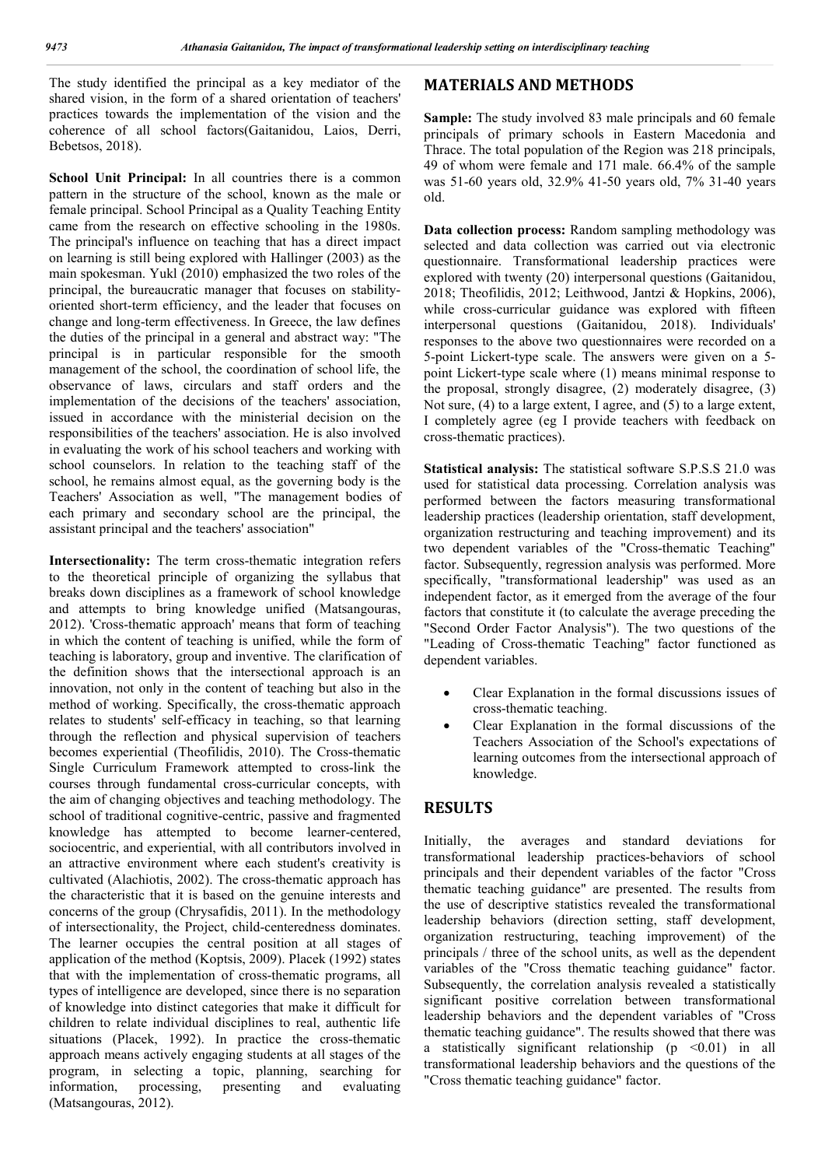The study identified the principal as a key mediator of the shared vision, in the form of a shared orientation of teachers' practices towards the implementation of the vision and the coherence of all school factors(Gaitanidou, Laios, Derri, Bebetsos, 2018).

**School Unit Principal:** In all countries there is a common pattern in the structure of the school, known as the male or female principal. School Principal as a Quality Teaching Entity came from the research on effective schooling in the 1980s. The principal's influence on teaching that has a direct impact on learning is still being explored with Hallinger (2003) as the main spokesman. Yukl (2010) emphasized the two roles of the principal, the bureaucratic manager that focuses on stabilityoriented short-term efficiency, and the leader that focuses on change and long-term effectiveness. In Greece, the law defines the duties of the principal in a general and abstract way: "The principal is in particular responsible for the smooth management of the school, the coordination of school life, the observance of laws, circulars and staff orders and the implementation of the decisions of the teachers' association, issued in accordance with the ministerial decision on the responsibilities of the teachers' association. He is also involved in evaluating the work of his school teachers and working with school counselors. In relation to the teaching staff of the school, he remains almost equal, as the governing body is the Teachers' Association as well, "The management bodies of each primary and secondary school are the principal, the assistant principal and the teachers' association"

**Intersectionality:** The term cross-thematic integration refers to the theoretical principle of organizing the syllabus that breaks down disciplines as a framework of school knowledge and attempts to bring knowledge unified (Matsangouras, 2012). 'Cross-thematic approach' means that form of teaching in which the content of teaching is unified, while the form of teaching is laboratory, group and inventive. The clarification of the definition shows that the intersectional approach is an innovation, not only in the content of teaching but also in the method of working. Specifically, the cross-thematic approach relates to students' self-efficacy in teaching, so that learning through the reflection and physical supervision of teachers becomes experiential (Theofilidis, 2010). The Cross-thematic Single Curriculum Framework attempted to cross-link the courses through fundamental cross-curricular concepts, with the aim of changing objectives and teaching methodology. The school of traditional cognitive-centric, passive and fragmented knowledge has attempted to become learner-centered, sociocentric, and experiential, with all contributors involved in an attractive environment where each student's creativity is cultivated (Alachiotis, 2002). The cross-thematic approach has the characteristic that it is based on the genuine interests and concerns of the group (Chrysafidis, 2011). In the methodology of intersectionality, the Project, child-centeredness dominates. The learner occupies the central position at all stages of application of the method (Koptsis, 2009). Placek (1992) states that with the implementation of cross-thematic programs, all types of intelligence are developed, since there is no separation of knowledge into distinct categories that make it difficult for children to relate individual disciplines to real, authentic life situations (Placek, 1992). In practice the cross-thematic approach means actively engaging students at all stages of the program, in selecting a topic, planning, searching for information, processing, presenting and evaluating (Matsangouras, 2012).

### **MATERIALS AND METHODS**

**Sample:** The study involved 83 male principals and 60 female principals of primary schools in Eastern Macedonia and Thrace. The total population of the Region was 218 principals, 49 of whom were female and 171 male. 66.4% of the sample was 51-60 years old, 32.9% 41-50 years old, 7% 31-40 years old.

**Data collection process:** Random sampling methodology was selected and data collection was carried out via electronic questionnaire. Transformational leadership practices were explored with twenty (20) interpersonal questions (Gaitanidou, 2018; Theofilidis, 2012; Leithwood, Jantzi & Hopkins, 2006), while cross-curricular guidance was explored with fifteen interpersonal questions (Gaitanidou, 2018). Individuals' responses to the above two questionnaires were recorded on a 5-point Lickert-type scale. The answers were given on a 5 point Lickert-type scale where (1) means minimal response to the proposal, strongly disagree, (2) moderately disagree, (3) Not sure, (4) to a large extent, I agree, and (5) to a large extent, I completely agree (eg I provide teachers with feedback on cross-thematic practices).

**Statistical analysis:** The statistical software S.P.S.S 21.0 was used for statistical data processing. Correlation analysis was performed between the factors measuring transformational leadership practices (leadership orientation, staff development, organization restructuring and teaching improvement) and its two dependent variables of the "Cross-thematic Teaching" factor. Subsequently, regression analysis was performed. More specifically, "transformational leadership" was used as an independent factor, as it emerged from the average of the four factors that constitute it (to calculate the average preceding the "Second Order Factor Analysis"). The two questions of the "Leading of Cross-thematic Teaching" factor functioned as dependent variables.

- Clear Explanation in the formal discussions issues of cross-thematic teaching.
- Clear Explanation in the formal discussions of the Teachers Association of the School's expectations of learning outcomes from the intersectional approach of knowledge.

#### **RESULTS**

Initially, the averages and standard deviations for transformational leadership practices-behaviors of school principals and their dependent variables of the factor "Cross thematic teaching guidance" are presented. The results from the use of descriptive statistics revealed the transformational leadership behaviors (direction setting, staff development, organization restructuring, teaching improvement) of the principals / three of the school units, as well as the dependent variables of the "Cross thematic teaching guidance" factor. Subsequently, the correlation analysis revealed a statistically significant positive correlation between transformational leadership behaviors and the dependent variables of "Cross thematic teaching guidance". The results showed that there was a statistically significant relationship  $(p \le 0.01)$  in all transformational leadership behaviors and the questions of the "Cross thematic teaching guidance" factor.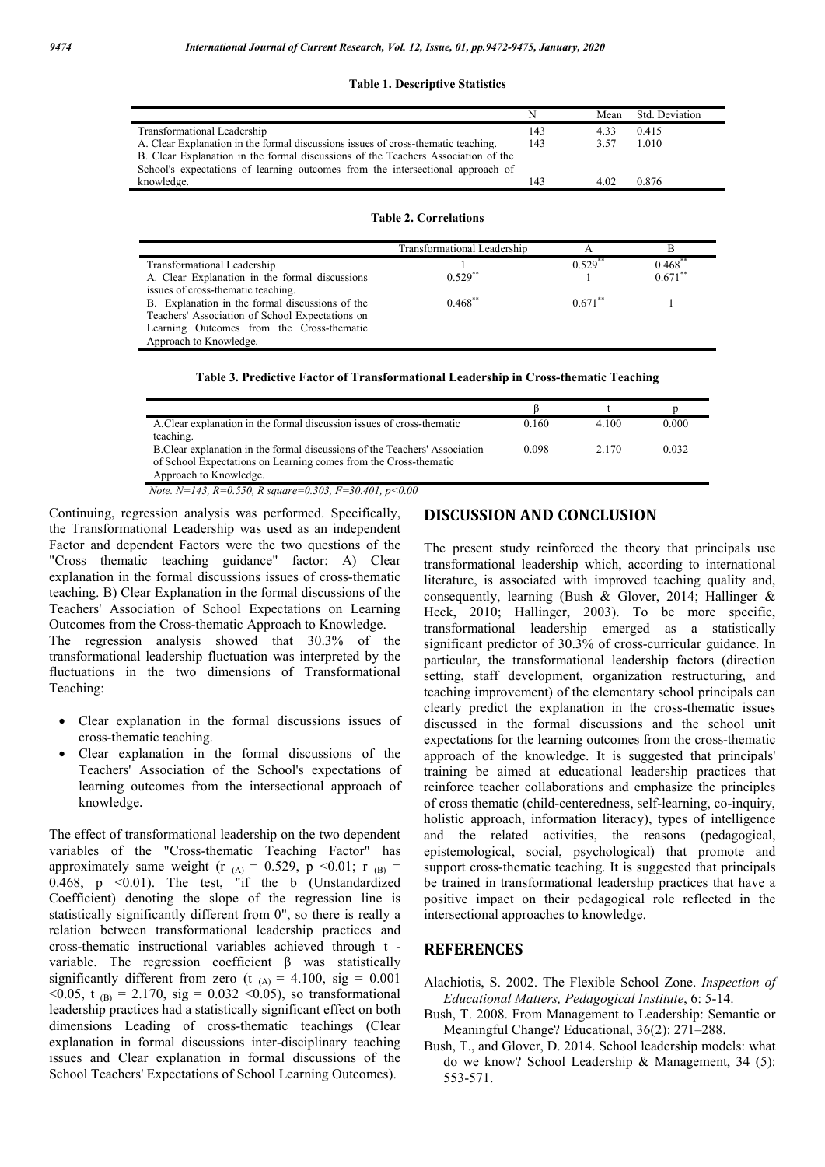#### **Table 1. Descriptive Statistics**

|                                                                                   | N   |      | Mean Std. Deviation |
|-----------------------------------------------------------------------------------|-----|------|---------------------|
| Transformational Leadership                                                       | 143 | 4.33 | 0.415               |
| A. Clear Explanation in the formal discussions issues of cross-thematic teaching. | 143 | 3.57 | 1.010               |
| B. Clear Explanation in the formal discussions of the Teachers Association of the |     |      |                     |
| School's expectations of learning outcomes from the intersectional approach of    |     |      |                     |
| knowledge.                                                                        | 143 | 4.02 | 0.876               |

#### **Table 2. Correlations**

|                                                 | Transformational Leadership | А          |            |
|-------------------------------------------------|-----------------------------|------------|------------|
| Transformational Leadership                     |                             | $0.529$ ** | $0.468$ ** |
| A. Clear Explanation in the formal discussions  | $0.529**$                   |            | $0.671$ ** |
| issues of cross-thematic teaching.              |                             |            |            |
| B. Explanation in the formal discussions of the | $0.468***$                  | $0.671$ ** |            |
| Teachers' Association of School Expectations on |                             |            |            |
| Learning Outcomes from the Cross-thematic       |                             |            |            |
| Approach to Knowledge.                          |                             |            |            |
|                                                 |                             |            |            |

**Table 3. Predictive Factor of Transformational Leadership in Cross-thematic Teaching**

| A. Clear explanation in the formal discussion issues of cross-thematic      | 0.160 | 4.100 | 0.000 |
|-----------------------------------------------------------------------------|-------|-------|-------|
| teaching.                                                                   |       |       |       |
| B. Clear explanation in the formal discussions of the Teachers' Association | 0.098 | 2.170 | 0.032 |
| of School Expectations on Learning comes from the Cross-thematic            |       |       |       |
| Approach to Knowledge.                                                      |       |       |       |
| Note. N=143, R=0.550, R square=0.303, F=30.401, p<0.00                      |       |       |       |

Continuing, regression analysis was performed. Specifically, the Transformational Leadership was used as an independent Factor and dependent Factors were the two questions of the "Cross thematic teaching guidance" factor: A) Clear explanation in the formal discussions issues of cross-thematic teaching. B) Clear Explanation in the formal discussions of the Teachers' Association of School Expectations on Learning Outcomes from the Cross-thematic Approach to Knowledge. The regression analysis showed that 30.3% of the transformational leadership fluctuation was interpreted by the fluctuations in the two dimensions of Transformational Teaching:

- Clear explanation in the formal discussions issues of cross-thematic teaching.
- Clear explanation in the formal discussions of the Teachers' Association of the School's expectations of learning outcomes from the intersectional approach of knowledge.

The effect of transformational leadership on the two dependent variables of the "Cross-thematic Teaching Factor" has approximately same weight (r  $_{(A)} = 0.529$ , p < 0.01; r  $_{(B)} =$ 0.468, p <0.01). The test, "if the b (Unstandardized Coefficient) denoting the slope of the regression line is statistically significantly different from 0", so there is really a relation between transformational leadership practices and cross-thematic instructional variables achieved through t variable. The regression coefficient β was statistically significantly different from zero (t  $_{(A)} = 4.100$ , sig = 0.001  $< 0.05$ , t <sub>(B)</sub> = 2.170, sig = 0.032  $< 0.05$ ), so transformational leadership practices had a statistically significant effect on both dimensions Leading of cross-thematic teachings (Clear explanation in formal discussions inter-disciplinary teaching issues and Clear explanation in formal discussions of the School Teachers' Expectations of School Learning Outcomes).

### **DISCUSSION AND CONCLUSION**

The present study reinforced the theory that principals use transformational leadership which, according to international literature, is associated with improved teaching quality and, consequently, learning (Bush & Glover, 2014; Hallinger & Heck, 2010; Hallinger, 2003). To be more specific, transformational leadership emerged as a statistically significant predictor of 30.3% of cross-curricular guidance. In particular, the transformational leadership factors (direction setting, staff development, organization restructuring, and teaching improvement) of the elementary school principals can clearly predict the explanation in the cross-thematic issues discussed in the formal discussions and the school unit expectations for the learning outcomes from the cross-thematic approach of the knowledge. It is suggested that principals' training be aimed at educational leadership practices that reinforce teacher collaborations and emphasize the principles of cross thematic (child-centeredness, self-learning, co-inquiry, holistic approach, information literacy), types of intelligence and the related activities, the reasons (pedagogical, epistemological, social, psychological) that promote and support cross-thematic teaching. It is suggested that principals be trained in transformational leadership practices that have a positive impact on their pedagogical role reflected in the intersectional approaches to knowledge.

### **REFERENCES**

- Alachiotis, S. 2002. The Flexible School Zone. *Inspection of Educational Matters, Pedagogical Institute*, 6: 5-14.
- Bush, T. 2008. From Management to Leadership: Semantic or Meaningful Change? Educational, 36(2): 271–288.
- Bush, T., and Glover, D. 2014. School leadership models: what do we know? School Leadership & Management, 34 (5): 553-571.